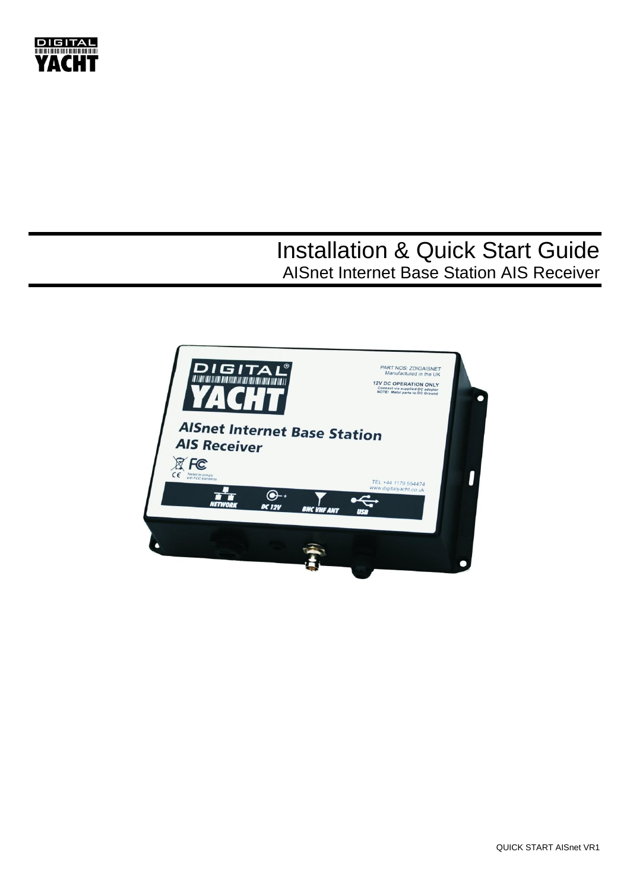

# Installation & Quick Start Guide AISnet Internet Base Station AIS Receiver

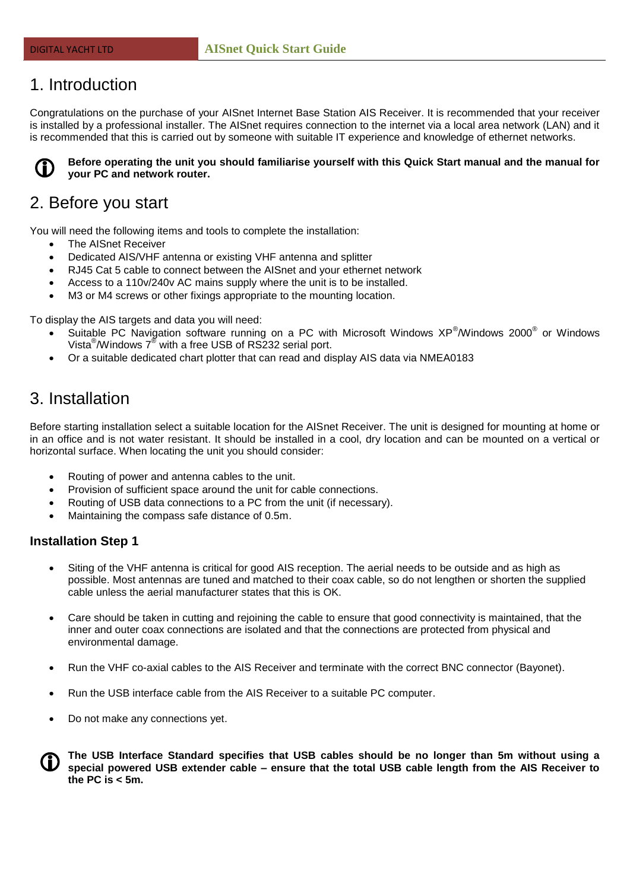## 1. Introduction

Congratulations on the purchase of your AISnet Internet Base Station AIS Receiver. It is recommended that your receiver is installed by a professional installer. The AISnet requires connection to the internet via a local area network (LAN) and it is recommended that this is carried out by someone with suitable IT experience and knowledge of ethernet networks.



**Before operating the unit you should familiarise yourself with this Quick Start manual and the manual for your PC and network router.**

## 2. Before you start

You will need the following items and tools to complete the installation:

- The AISnet Receiver
- Dedicated AIS/VHF antenna or existing VHF antenna and splitter
- RJ45 Cat 5 cable to connect between the AISnet and your ethernet network
- Access to a 110v/240v AC mains supply where the unit is to be installed.
- M3 or M4 screws or other fixings appropriate to the mounting location.

To display the AIS targets and data you will need:

- Suitable PC Navigation software running on a PC with Microsoft Windows XP®/Windows 2000® or Windows Vista $^{\circledR}$ /Windows  $7^{\circledR}$  with a free USB of RS232 serial port.
- Or a suitable dedicated chart plotter that can read and display AIS data via NMEA0183

# 3. Installation

Before starting installation select a suitable location for the AISnet Receiver. The unit is designed for mounting at home or in an office and is not water resistant. It should be installed in a cool, dry location and can be mounted on a vertical or horizontal surface. When locating the unit you should consider:

- Routing of power and antenna cables to the unit.
- Provision of sufficient space around the unit for cable connections.
- Routing of USB data connections to a PC from the unit (if necessary).
- Maintaining the compass safe distance of 0.5m.

#### **Installation Step 1**

- Siting of the VHF antenna is critical for good AIS reception. The aerial needs to be outside and as high as possible. Most antennas are tuned and matched to their coax cable, so do not lengthen or shorten the supplied cable unless the aerial manufacturer states that this is OK.
- Care should be taken in cutting and rejoining the cable to ensure that good connectivity is maintained, that the inner and outer coax connections are isolated and that the connections are protected from physical and environmental damage.
- Run the VHF co-axial cables to the AIS Receiver and terminate with the correct BNC connector (Bayonet).
- Run the USB interface cable from the AIS Receiver to a suitable PC computer.
- Do not make any connections yet.



**The USB Interface Standard specifies that USB cables should be no longer than 5m without using a special powered USB extender cable – ensure that the total USB cable length from the AIS Receiver to the PC is < 5m.**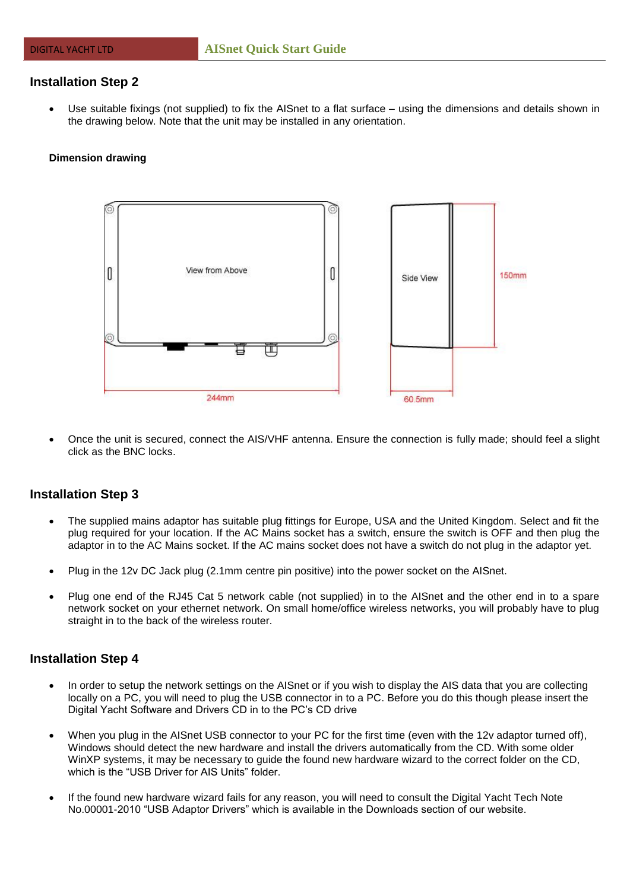### **Installation Step 2**

 Use suitable fixings (not supplied) to fix the AISnet to a flat surface – using the dimensions and details shown in the drawing below. Note that the unit may be installed in any orientation.

#### **Dimension drawing**



 Once the unit is secured, connect the AIS/VHF antenna. Ensure the connection is fully made; should feel a slight click as the BNC locks.

### **Installation Step 3**

- The supplied mains adaptor has suitable plug fittings for Europe, USA and the United Kingdom. Select and fit the plug required for your location. If the AC Mains socket has a switch, ensure the switch is OFF and then plug the adaptor in to the AC Mains socket. If the AC mains socket does not have a switch do not plug in the adaptor yet.
- Plug in the 12v DC Jack plug (2.1mm centre pin positive) into the power socket on the AISnet.
- Plug one end of the RJ45 Cat 5 network cable (not supplied) in to the AISnet and the other end in to a spare network socket on your ethernet network. On small home/office wireless networks, you will probably have to plug straight in to the back of the wireless router.

#### **Installation Step 4**

- In order to setup the network settings on the AISnet or if you wish to display the AIS data that you are collecting locally on a PC, you will need to plug the USB connector in to a PC. Before you do this though please insert the Digital Yacht Software and Drivers CD in to the PC's CD drive
- When you plug in the AISnet USB connector to your PC for the first time (even with the 12y adaptor turned off), Windows should detect the new hardware and install the drivers automatically from the CD. With some older WinXP systems, it may be necessary to guide the found new hardware wizard to the correct folder on the CD, which is the "USB Driver for AIS Units" folder
- If the found new hardware wizard fails for any reason, you will need to consult the Digital Yacht Tech Note No.00001-2010 "USB Adaptor Drivers" which is available in the Downloads section of our website.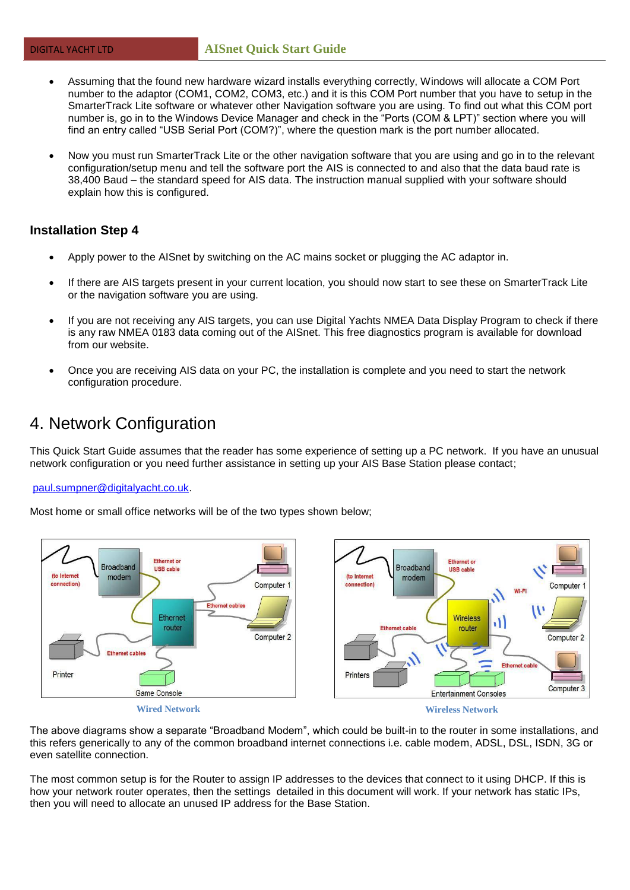- Assuming that the found new hardware wizard installs everything correctly, Windows will allocate a COM Port number to the adaptor (COM1, COM2, COM3, etc.) and it is this COM Port number that you have to setup in the SmarterTrack Lite software or whatever other Navigation software you are using. To find out what this COM port number is, go in to the Windows Device Manager and check in the "Ports (COM & LPT)" section where you will find an entry called "USB Serial Port (COM?)", where the question mark is the port number allocated.
- Now you must run SmarterTrack Lite or the other navigation software that you are using and go in to the relevant configuration/setup menu and tell the software port the AIS is connected to and also that the data baud rate is 38,400 Baud – the standard speed for AIS data. The instruction manual supplied with your software should explain how this is configured.

### **Installation Step 4**

- Apply power to the AISnet by switching on the AC mains socket or plugging the AC adaptor in.
- If there are AIS targets present in your current location, you should now start to see these on SmarterTrack Lite or the navigation software you are using.
- If you are not receiving any AIS targets, you can use Digital Yachts NMEA Data Display Program to check if there is any raw NMEA 0183 data coming out of the AISnet. This free diagnostics program is available for download from our website.
- Once you are receiving AIS data on your PC, the installation is complete and you need to start the network configuration procedure.

### 4. Network Configuration

This Quick Start Guide assumes that the reader has some experience of setting up a PC network. If you have an unusual network configuration or you need further assistance in setting up your AIS Base Station please contact;

#### [paul.sumpner@digitalyacht.co.uk.](mailto:paul.sumpner@digitalyacht.co.uk)

Most home or small office networks will be of the two types shown below;



The above diagrams show a separate "Broadband Modem", which could be built-in to the router in some installations, and this refers generically to any of the common broadband internet connections i.e. cable modem, ADSL, DSL, ISDN, 3G or even satellite connection.

The most common setup is for the Router to assign IP addresses to the devices that connect to it using DHCP. If this is how your network router operates, then the settings detailed in this document will work. If your network has static IPs, then you will need to allocate an unused IP address for the Base Station.